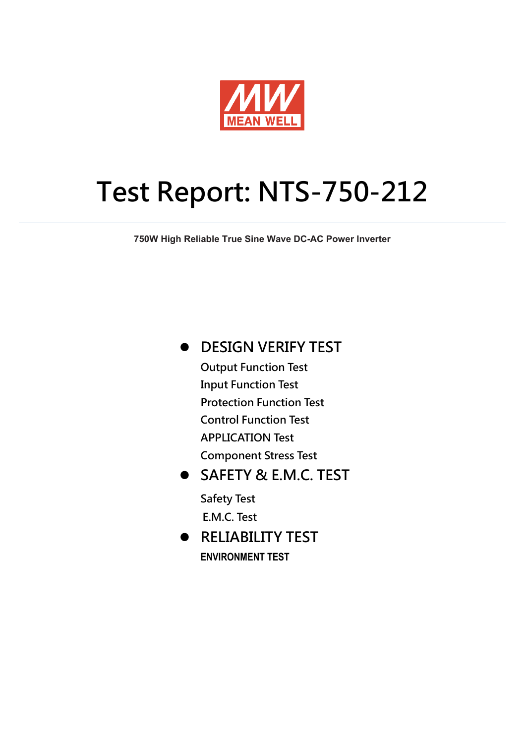

# **Test Report: NTS-750-212**

**750W High Reliable True Sine Wave DC-AC Power Inverter**

**DESIGN VERIFY TEST**

 **Output Function Test Input Function Test Protection Function Test Control Function Test APPLICATION Test Component Stress Test** 

 **SAFETY & E.M.C. TEST Safety Test E.M.C. Test** 

 **RELIABILITY TEST ENVIRONMENT TEST**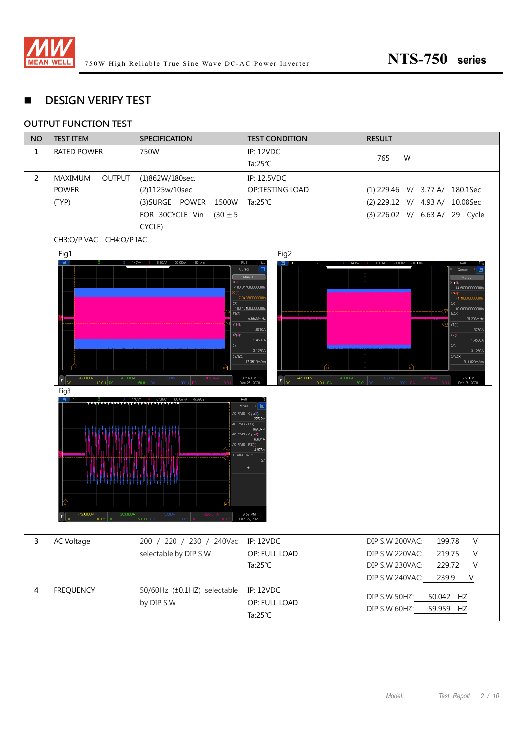

### **DESIGN VERIFY TEST**

#### **OUTPUT FUNCTION TEST**

| <b>NO</b>      | <b>TEST ITEM</b>                | <b>SPECIFICATION</b>                   | <b>TEST CONDITION</b>                           | <b>RESULT</b>                                            |
|----------------|---------------------------------|----------------------------------------|-------------------------------------------------|----------------------------------------------------------|
| $\mathbf{1}$   | <b>RATED POWER</b>              | 750W                                   | <b>IP: 12VDC</b>                                |                                                          |
|                |                                 |                                        | Ta: $25^{\circ}$ C                              | 765<br>W                                                 |
| $\overline{2}$ | <b>OUTPUT</b><br><b>MAXIMUM</b> | (1)862W/180sec.                        | IP: 12.5VDC                                     |                                                          |
|                | <b>POWER</b>                    | (2)1125w/10sec                         | OP:TESTING LOAD                                 | (1) 229.46 V/ 3.77 A/ 180.1Sec                           |
|                | (TYP)                           | (3) SURGE POWER<br>1500W               | Ta: $25^{\circ}$ C                              | (2) 229.12 V/ 4.93 A/ 10.08Sec                           |
|                |                                 | FOR 30CYCLE Vin<br>$(30 \pm 5)$        |                                                 | (3) 226.02 V/ 6.63 A/ 29 Cycle                           |
|                |                                 | CYCLE)                                 |                                                 |                                                          |
|                | CH3:O/P VAC CH4:O/P IAC         |                                        |                                                 |                                                          |
|                | Fig1                            |                                        | Fig2                                            |                                                          |
|                | 目                               | 140V7<br>4 3.30A/ 20.00s/<br>$-101.4s$ | Roll<br>140W<br>圓<br>Cursor                     | 2.000 s/<br>$-10.00s$<br>3.30A/<br>Rell<br>1 E<br>Cursor |
|                |                                 | X1(4)                                  | Manual                                          | Manual<br>X1(4)                                          |
|                |                                 | X2(4):                                 | -188.047600000000s                              | -14.560000000000s                                        |
|                |                                 | AX:                                    | $-7.942800000000$<br>180.104800000000s          | -4.480000000000<br>AX:<br>10.080000000000s               |
|                |                                 | 1/AX:                                  | 5.5523mHz                                       | 1/8X:<br>99.206mHz                                       |
|                |                                 | Y1(4)                                  | $-1.6750A$                                      | $Y1(4)$ :<br>$-1.6750A$                                  |
|                |                                 | Y2(4)                                  | 1.4500A                                         | $Y2(4)$ :<br>1.4500A<br>AY:                              |
|                | AY:<br>AY/AX:                   |                                        | 3.1250A                                         | 3.1250A<br>AY/AX:                                        |
|                |                                 |                                        | 17.3510mA/s                                     | 310.020mA/s                                              |
|                | $-42.0000V$<br>283.000A         | 3.500V<br>-165.On                      | 6:56 PM<br>$-42.0000V$<br>283.000A<br>$\bullet$ | 3.500V<br>6:58 PM<br>$-165.0mA$                          |
|                | <b>DC</b><br>10.01<br>Fig3      | 50.0<br>1000:                          | Dec 25, 2020<br>10.0:1                          | 50.0:1<br>Dec 25, 2020<br>tnon-                          |
|                | AAAAAAAAAAAAAAAAAAAAAAAAAA      | 140V7<br>4 5.30A/ 100.0ms/ -5.696s     | Roll<br>æ<br>Meas<br>□■                         |                                                          |
|                |                                 |                                        | AC RMS - Cyc(3):<br>225.2                       |                                                          |
|                |                                 |                                        | AC RMS - FS(3):<br>169.87V                      |                                                          |
|                |                                 |                                        | AC RMS - Cyc(4):<br>6.601A                      |                                                          |
|                |                                 |                                        | AC RMS - FS(4):<br>4.976A<br>+ Pulse Count(3):  |                                                          |
|                |                                 |                                        |                                                 |                                                          |
|                |                                 |                                        | ÷                                               |                                                          |
|                |                                 |                                        |                                                 |                                                          |
|                |                                 |                                        |                                                 |                                                          |
|                | $-42.0000V$<br>283.000A         | 3.500V                                 | 6:59 PM                                         |                                                          |
|                | <b>DC</b><br>10.0:1 DC          | 50.0:1 DC<br>1000                      | Dec 25, 2020                                    |                                                          |
| $\overline{3}$ |                                 |                                        |                                                 |                                                          |
|                | AC Voltage                      | 200 / 220 / 230 / 240Vac               | <b>IP: 12VDC</b>                                | DIP S.W 200VAC:<br>199.78<br>$\mathsf V$                 |
|                |                                 | selectable by DIP S.W                  | OP: FULL LOAD                                   | $\sf V$<br>DIP S.W 220VAC:<br>219.75                     |
|                |                                 |                                        | Ta: $25^{\circ}$ C                              | DIP S.W 230VAC:<br>229.72<br>$\vee$                      |
|                |                                 |                                        |                                                 | DIP S.W 240VAC:<br>V<br>239.9                            |
| 4              | <b>FREQUENCY</b>                | 50/60Hz (±0.1HZ) selectable            | <b>IP: 12VDC</b>                                | DIP S.W 50HZ:<br>50.042 HZ                               |
|                |                                 | by DIP S.W                             | OP: FULL LOAD                                   | DIP S.W 60HZ:<br>59.959 HZ                               |
|                |                                 |                                        | Ta: $25^{\circ}$ C                              |                                                          |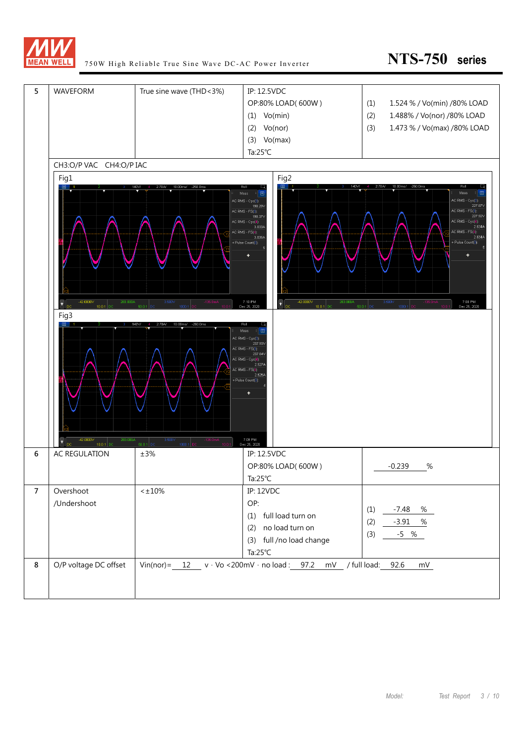

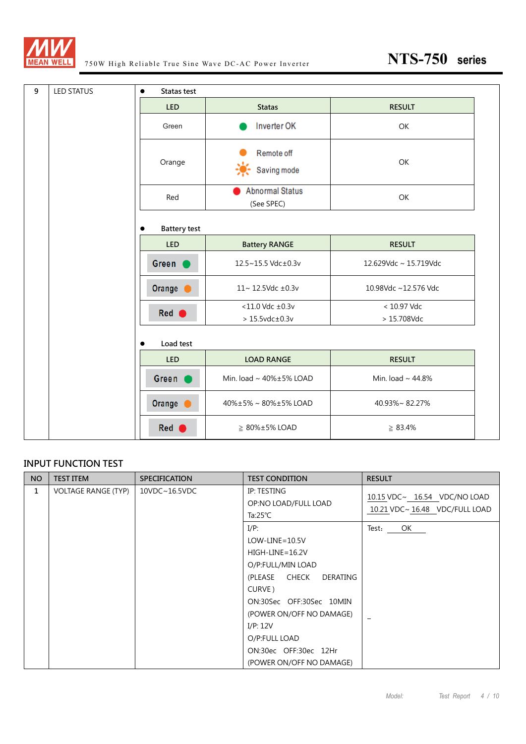

| 9<br><b>LED STATUS</b> | Statas test         |                                                   |                            |
|------------------------|---------------------|---------------------------------------------------|----------------------------|
|                        | <b>LED</b>          | <b>Statas</b>                                     | <b>RESULT</b>              |
|                        | Green               | Inverter OK                                       | OK                         |
|                        | Orange              | Remote off<br>楽<br>Saving mode                    | OK                         |
|                        | Red                 | <b>Abnormal Status</b><br>(See SPEC)              | OK                         |
|                        | <b>Battery test</b> |                                                   |                            |
|                        | <b>LED</b>          | <b>Battery RANGE</b>                              | <b>RESULT</b>              |
|                        | Green (             | 12.5~15.5 Vdc±0.3v                                | 12.629Vdc ~ 15.719Vdc      |
|                        | Orange <b>O</b>     | 11~12.5Vdc ±0.3v                                  | 10.98Vdc ~12.576 Vdc       |
|                        | Red (               | $<$ 11.0 Vdc $\pm$ 0.3v<br>$>15.5$ vdc $\pm$ 0.3v | < 10.97 Vdc<br>> 15.708Vdc |
|                        | Load test           |                                                   |                            |
|                        | <b>LED</b>          | <b>LOAD RANGE</b>                                 | <b>RESULT</b>              |
|                        | Green (             | Min. load ~ 40%±5% LOAD                           | Min. load ~ 44.8%          |
|                        | Orange <b>O</b>     | 40%±5%~80%±5%LOAD                                 | 40.93%~82.27%              |
|                        | Red                 | $\geq 80\% \pm 5\%$ LOAD                          | $\geq 83.4\%$              |

#### **INPUT FUNCTION TEST**

| <b>NO</b> | <b>TEST ITEM</b>           | <b>SPECIFICATION</b> | <b>TEST CONDITION</b>                                                                                                                                                                                                                                     | <b>RESULT</b>                                                         |
|-----------|----------------------------|----------------------|-----------------------------------------------------------------------------------------------------------------------------------------------------------------------------------------------------------------------------------------------------------|-----------------------------------------------------------------------|
| 1         | <b>VOLTAGE RANGE (TYP)</b> | 10VDC~16.5VDC        | IP: TESTING<br>OP:NO LOAD/FULL LOAD<br>Ta:25 $°C$                                                                                                                                                                                                         | $10.15$ VDC $\sim$ 16.54 VDC/NO LOAD<br>10.21 VDC~16.48 VDC/FULL LOAD |
|           |                            |                      | $I/P$ :<br>$LOW$ -LINE=10.5V<br>$HIGH-LINE = 16.2V$<br>O/P:FULL/MIN LOAD<br>(PLEASE CHECK<br>DERATING<br>CURVE)<br>ON:30Sec OFF:30Sec 10MIN<br>(POWER ON/OFF NO DAMAGE)<br>I/P: 12V<br>O/P:FULL LOAD<br>ON:30ec OFF:30ec 12Hr<br>(POWER ON/OFF NO DAMAGE) | Test:<br>OK                                                           |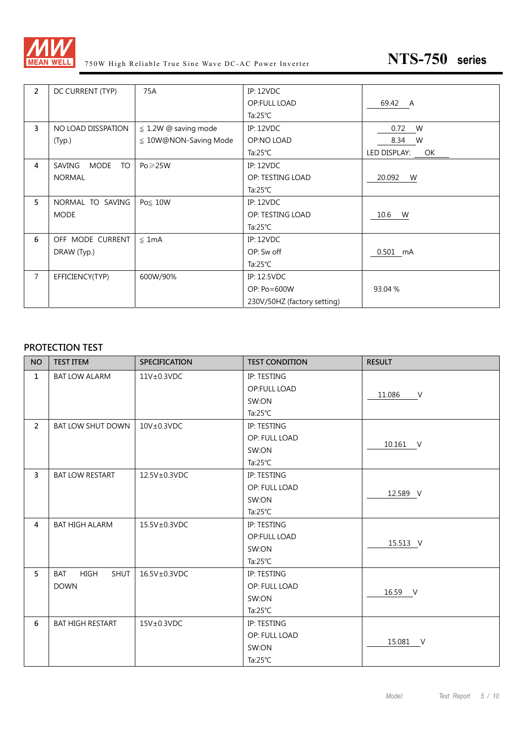

| $\overline{2}$ | DC CURRENT (TYP)            | 75A                        | <b>IP: 12VDC</b>            |                    |
|----------------|-----------------------------|----------------------------|-----------------------------|--------------------|
|                |                             |                            | OP:FULL LOAD                | 69.42 A            |
|                |                             |                            | Ta: $25^{\circ}$ C          |                    |
| $\overline{3}$ | NO LOAD DISSPATION          | $\leq$ 1.2W @ saving mode  | IP: 12VDC                   | 0.72 W             |
|                | (Typ.)                      | $\leq 10W@NON-Saving Mode$ | OP:NO LOAD                  | 8.34 W             |
|                |                             |                            | Ta: $25^{\circ}$ C          | LED DISPLAY:<br>OK |
| 4              | SAVING<br>MODE<br><b>TO</b> | $Po \geqslant 25W$         | <b>IP: 12VDC</b>            |                    |
|                | <b>NORMAL</b>               |                            | OP: TESTING LOAD            | 20.092<br>W        |
|                |                             |                            | Ta: $25^{\circ}$ C          |                    |
| 5              | NORMAL TO SAVING            | Po≤ 10W                    | <b>IP: 12VDC</b>            |                    |
|                | <b>MODE</b>                 |                            | OP: TESTING LOAD            | 10.6 W             |
|                |                             |                            | Ta:25 $°C$                  |                    |
| 6              | OFF MODE CURRENT            | $\leq 1mA$                 | <b>IP: 12VDC</b>            |                    |
|                | DRAW (Typ.)                 |                            | OP: Sw off                  | 0.501 mA           |
|                |                             |                            | Ta: $25^{\circ}$ C          |                    |
| $\overline{7}$ | EFFICIENCY(TYP)             | 600W/90%                   | IP: 12.5VDC                 |                    |
|                |                             |                            | OP: Po=600W                 | 93.04 %            |
|                |                             |                            | 230V/50HZ (factory setting) |                    |

#### **PROTECTION TEST**

| <b>NO</b>      | <b>TEST ITEM</b>                         | <b>SPECIFICATION</b> | <b>TEST CONDITION</b> | <b>RESULT</b>    |
|----------------|------------------------------------------|----------------------|-----------------------|------------------|
| $\mathbf{1}$   | <b>BAT LOW ALARM</b>                     | 11V±0.3VDC           | IP: TESTING           |                  |
|                |                                          |                      | <b>OP:FULL LOAD</b>   | 11.086<br>$\vee$ |
|                |                                          |                      | SW:ON                 |                  |
|                |                                          |                      | Ta: $25^{\circ}$ C    |                  |
| $\overline{2}$ | <b>BAT LOW SHUT DOWN</b>                 | $10V \pm 0.3VDC$     | IP: TESTING           |                  |
|                |                                          |                      | OP: FULL LOAD         | 10.161 V         |
|                |                                          |                      | SW:ON                 |                  |
|                |                                          |                      | Ta: $25^{\circ}$ C    |                  |
| $\overline{3}$ | <b>BAT LOW RESTART</b>                   | 12.5V±0.3VDC         | IP: TESTING           |                  |
|                |                                          |                      | OP: FULL LOAD         | 12.589 V         |
|                |                                          |                      | SW:ON                 |                  |
|                |                                          |                      | Ta: $25^{\circ}$ C    |                  |
| $\overline{4}$ | <b>BAT HIGH ALARM</b>                    | 15.5V±0.3VDC         | IP: TESTING           |                  |
|                |                                          |                      | OP:FULL LOAD          | 15.513 V         |
|                |                                          |                      | SW:ON                 |                  |
|                |                                          |                      | Ta: $25^{\circ}$ C    |                  |
| 5              | <b>SHUT</b><br><b>BAT</b><br><b>HIGH</b> | 16.5V±0.3VDC         | IP: TESTING           |                  |
|                | <b>DOWN</b>                              |                      | OP: FULL LOAD         | 16.59 V          |
|                |                                          |                      | SW:ON                 |                  |
|                |                                          |                      | Ta: $25^{\circ}$ C    |                  |
| 6              | <b>BAT HIGH RESTART</b>                  | $15V\pm0.3VDC$       | IP: TESTING           |                  |
|                |                                          |                      | OP: FULL LOAD         | 15.081 V         |
|                |                                          |                      | SW:ON                 |                  |
|                |                                          |                      | Ta: $25^{\circ}$ C    |                  |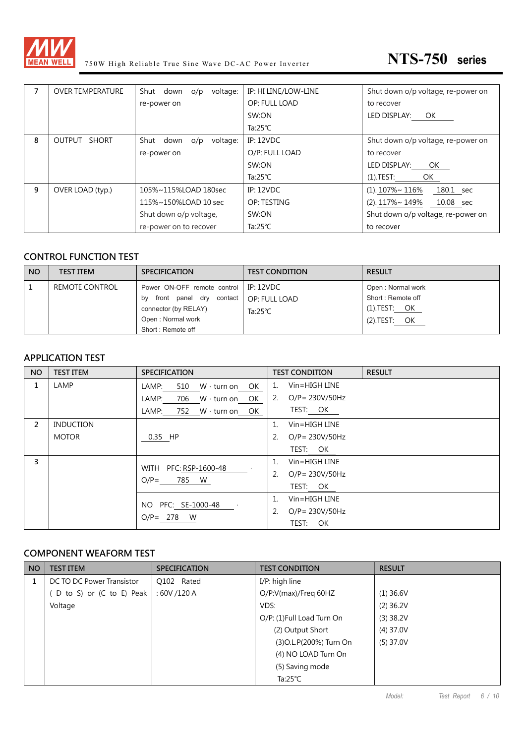

| 7 | <b>OVER TEMPERATURE</b> | voltage:<br>Shut down o/p | IP: HI LINE/LOW-LINE | Shut down o/p voltage, re-power on |
|---|-------------------------|---------------------------|----------------------|------------------------------------|
|   |                         | re-power on               | OP: FULL LOAD        | to recover                         |
|   |                         |                           | SW:ON                | LED DISPLAY: OK                    |
|   |                         |                           | Ta: $25^{\circ}$ C   |                                    |
| 8 | OUTPUT SHORT            | Shut down o/p<br>voltage: | <b>IP: 12VDC</b>     | Shut down o/p voltage, re-power on |
|   |                         | re-power on               | O/P: FULL LOAD       | to recover                         |
|   |                         |                           | SW:ON                | LED DISPLAY:<br>OK                 |
|   |                         |                           | Ta: $25^{\circ}$ C   | (1).TEST:<br>OK                    |
| 9 | OVER LOAD (typ.)        | 105%~115%LOAD 180sec      | IP: 12VDC            | $(1)$ . 107%~ 116%<br>180.1 sec    |
|   |                         | 115%~150%LOAD 10 sec      | OP: TESTING          | (2). 117%~ 149%<br>10.08 sec       |
|   |                         | Shut down o/p voltage,    | SW:ON                | Shut down o/p voltage, re-power on |
|   |                         | re-power on to recover    | Ta: $25^{\circ}$ C   | to recover                         |

#### **CONTROL FUNCTION TEST**

| <b>NO</b> | <b>TEST ITEM</b> | <b>SPECIFICATION</b>                    | <b>TEST CONDITION</b> | <b>RESULT</b>     |
|-----------|------------------|-----------------------------------------|-----------------------|-------------------|
|           | REMOTE CONTROL   | Power ON-OFF remote control   IP: 12VDC |                       | Open: Normal work |
|           |                  | front panel dry contact<br>bv           | OP: FULL LOAD         | Short: Remote off |
|           |                  | connector (by RELAY)                    | Ta:25 $°C$            | (1).TEST: OK      |
|           |                  | Open: Normal work                       |                       | (2).TEST: OK      |
|           |                  | Short: Remote off                       |                       |                   |

#### **APPLICATION TEST**

| <b>NO</b>      | <b>TEST ITEM</b> | <b>SPECIFICATION</b>                | <b>TEST CONDITION</b><br><b>RESULT</b> |
|----------------|------------------|-------------------------------------|----------------------------------------|
| 1              | LAMP             | W · turn on<br>510<br>OK<br>LAMP:   | Vin=HIGH LINE<br>$\cdot$ 1.            |
|                |                  | LAMP:<br>706 W · turn on<br>OK.     | $O/P = 230V/50Hz$<br>2.                |
|                |                  | LAMP:<br>752 W turn on OK           | TEST: OK                               |
| $\overline{2}$ | <b>INDUCTION</b> |                                     | 1 <sup>1</sup><br>$V$ in=HIGH LINE     |
|                | <b>MOTOR</b>     | 0.35 HP                             | 2.<br>$O/P = 230V/50Hz$                |
|                |                  |                                     | TEST: OK                               |
| 3              |                  | WITH PFC: RSP-1600-48               | 1 <sup>1</sup><br>$V$ in=HIGH LINE     |
|                |                  | 785 W<br>$O/P=$                     | 2.<br>$O/P = 230V/50Hz$                |
|                |                  |                                     | TEST: OK                               |
|                |                  |                                     | $V$ in=HIGH LINE<br>$\mathbf{1}$ .     |
|                |                  | NO PFC: SE-1000-48<br>$O/P = 278$ W | 2.<br>$O/P = 230V/50Hz$                |
|                |                  |                                     | TEST: OK                               |

#### **COMPONENT WEAFORM TEST**

| <b>NO</b> | <b>TEST ITEM</b>          | <b>SPECIFICATION</b> | <b>TEST CONDITION</b>     | <b>RESULT</b> |
|-----------|---------------------------|----------------------|---------------------------|---------------|
|           | DC TO DC Power Transistor | Q102 Rated           | I/P: high line            |               |
|           | D to S) or (C to E) Peak  | :60V/120A            | O/P:V(max)/Freq 60HZ      | $(1)$ 36.6V   |
|           | Voltage                   |                      | VDS:                      | $(2)$ 36.2V   |
|           |                           |                      | O/P: (1)Full Load Turn On | $(3)$ 38.2V   |
|           |                           |                      | (2) Output Short          | $(4)$ 37.0V   |
|           |                           |                      | (3) O.L. P(200%) Turn On  | $(5)$ 37.0V   |
|           |                           |                      | (4) NO LOAD Turn On       |               |
|           |                           |                      | (5) Saving mode           |               |
|           |                           |                      | Ta: $25^{\circ}$ C        |               |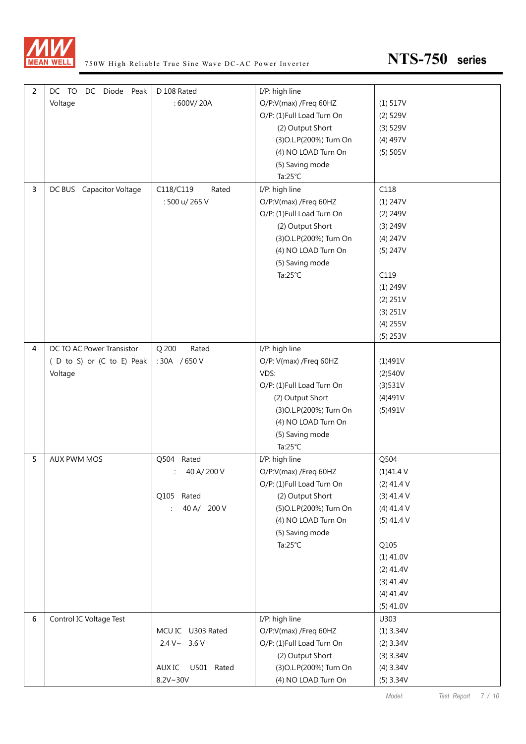

| $\overline{2}$ | DC TO<br>DC Diode Peak    | D 108 Rated                   | I/P: high line            |              |
|----------------|---------------------------|-------------------------------|---------------------------|--------------|
|                | Voltage                   | : 600V/20A                    | O/P:V(max) /Freq 60HZ     | (1) 517V     |
|                |                           |                               | O/P: (1)Full Load Turn On | $(2)$ 529V   |
|                |                           |                               | (2) Output Short          | $(3)$ 529V   |
|                |                           |                               | (3) O.L. P(200%) Turn On  | $(4)$ 497V   |
|                |                           |                               | (4) NO LOAD Turn On       | (5) 505V     |
|                |                           |                               | (5) Saving mode           |              |
|                |                           |                               | Ta: $25^{\circ}$ C        |              |
| 3              | DC BUS Capacitor Voltage  | C118/C119<br>Rated            | I/P: high line            | C118         |
|                |                           | : 500 u/ 265 V                | O/P:V(max) /Freq 60HZ     | (1) 247V     |
|                |                           |                               | O/P: (1)Full Load Turn On | $(2)$ 249V   |
|                |                           |                               | (2) Output Short          | (3) 249V     |
|                |                           |                               | (3) O.L. P(200%) Turn On  | (4) 247V     |
|                |                           |                               | (4) NO LOAD Turn On       | (5) 247V     |
|                |                           |                               | (5) Saving mode           |              |
|                |                           |                               | Ta: $25^{\circ}$ C        | C119         |
|                |                           |                               |                           | (1) 249V     |
|                |                           |                               |                           | (2) 251V     |
|                |                           |                               |                           | (3) 251V     |
|                |                           |                               |                           | $(4)$ 255V   |
|                |                           |                               |                           | (5) 253V     |
| 4              | DC TO AC Power Transistor | Q 200<br>Rated                | I/P: high line            |              |
|                | (D to S) or (C to E) Peak | :30A /650V                    | O/P: V(max) /Freq 60HZ    | (1)491V      |
|                | Voltage                   |                               | VDS:                      | (2)540V      |
|                |                           |                               | O/P: (1)Full Load Turn On | (3)531V      |
|                |                           |                               | (2) Output Short          | (4)491V      |
|                |                           |                               | (3) O.L. P(200%) Turn On  | (5)491V      |
|                |                           |                               | (4) NO LOAD Turn On       |              |
|                |                           |                               | (5) Saving mode           |              |
|                |                           |                               | Ta: $25^{\circ}$ C        |              |
| 5              | AUX PWM MOS               | Q504 Rated                    | I/P: high line            | Q504         |
|                |                           | 40 A/200 V                    | O/P:V(max) /Freq 60HZ     | (1)41.4V     |
|                |                           |                               | O/P: (1)Full Load Turn On | $(2)$ 41.4 V |
|                |                           | Q105 Rated                    | (2) Output Short          | $(3)$ 41.4 V |
|                |                           | 40 A/ 200 V<br>$\ddot{\cdot}$ | (5) O.L. P(200%) Turn On  | $(4)$ 41.4 V |
|                |                           |                               | (4) NO LOAD Turn On       | $(5)$ 41.4 V |
|                |                           |                               | (5) Saving mode           |              |
|                |                           |                               | Ta: $25^{\circ}$ C        | Q105         |
|                |                           |                               |                           | $(1)$ 41.0V  |
|                |                           |                               |                           | $(2)$ 41.4V  |
|                |                           |                               |                           | (3) 41.4V    |
|                |                           |                               |                           | $(4)$ 41.4V  |
|                |                           |                               |                           | $(5)$ 41.0V  |
| 6              | Control IC Voltage Test   |                               | I/P: high line            | U303         |
|                |                           | MCU IC U303 Rated             | O/P:V(max) /Freq 60HZ     | (1) 3.34V    |
|                |                           | $2.4 V \sim 3.6 V$            | O/P: (1)Full Load Turn On | $(2)$ 3.34V  |
|                |                           |                               | (2) Output Short          | $(3)$ 3.34V  |
|                |                           | AUX IC U501 Rated             | (3) O.L. P(200%) Turn On  | (4) 3.34V    |
|                |                           | $8.2V - 30V$                  | (4) NO LOAD Turn On       | $(5)$ 3.34V  |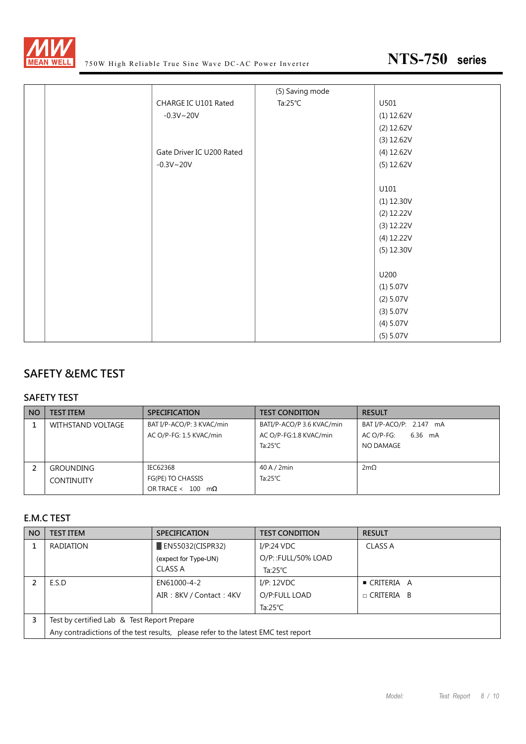

|  |                           | (5) Saving mode    |              |
|--|---------------------------|--------------------|--------------|
|  | CHARGE IC U101 Rated      | Ta: $25^{\circ}$ C | U501         |
|  | $-0.3V - 20V$             |                    | (1) 12.62V   |
|  |                           |                    | $(2)$ 12.62V |
|  |                           |                    | (3) 12.62V   |
|  | Gate Driver IC U200 Rated |                    | (4) 12.62V   |
|  | $-0.3V - 20V$             |                    | (5) 12.62V   |
|  |                           |                    |              |
|  |                           |                    | U101         |
|  |                           |                    | $(1)$ 12.30V |
|  |                           |                    | $(2)$ 12.22V |
|  |                           |                    | (3) 12.22V   |
|  |                           |                    | (4) 12.22V   |
|  |                           |                    | (5) 12.30V   |
|  |                           |                    |              |
|  |                           |                    | U200         |
|  |                           |                    | (1) 5.07V    |
|  |                           |                    | (2) 5.07V    |
|  |                           |                    | (3) 5.07V    |
|  |                           |                    | (4) 5.07V    |
|  |                           |                    | (5) 5.07V    |

#### **SAFETY &EMC TEST**

#### **SAFETY TEST**

| <b>NO</b> | <b>TEST ITEM</b>                      | <b>SPECIFICATION</b>                                              | <b>TEST CONDITION</b>                                                     | <b>RESULT</b>                                                 |
|-----------|---------------------------------------|-------------------------------------------------------------------|---------------------------------------------------------------------------|---------------------------------------------------------------|
|           | WITHSTAND VOLTAGE                     | BAT I/P-ACO/P: 3 KVAC/min<br>AC O/P-FG: 1.5 KVAC/min              | BATI/P-ACO/P 3.6 KVAC/min<br>AC O/P-FG:1.8 KVAC/min<br>Ta: $25^{\circ}$ C | BAT I/P-ACO/P: 2.147 mA<br>6.36 mA<br>AC O/P-FG:<br>NO DAMAGE |
|           | <b>GROUNDING</b><br><b>CONTINUITY</b> | IEC62368<br>FG(PE) TO CHASSIS<br>OR TRACE < $100 \text{ m}\Omega$ | 40A/2min<br>Ta: $25^{\circ}$ C                                            | $2m\Omega$                                                    |

#### **E.M.C TEST**

| <b>NO</b> | <b>TEST ITEM</b>                                                                   | <b>SPECIFICATION</b>      | <b>TEST CONDITION</b> | <b>RESULT</b>     |  |
|-----------|------------------------------------------------------------------------------------|---------------------------|-----------------------|-------------------|--|
|           | RADIATION                                                                          | <b>■ EN55032(CISPR32)</b> | I/P:24 VDC            | <b>CLASS A</b>    |  |
|           |                                                                                    | (expect for Type-UN)      | O/P:: FULL/50% LOAD   |                   |  |
|           |                                                                                    | CLASS A                   | Ta:25 $^{\circ}$ C    |                   |  |
|           | E.S.D                                                                              | EN61000-4-2               | I/P: 12VDC            | ■ CRITERIA A      |  |
|           |                                                                                    | AIR: 8KV / Contact: 4KV   | O/P:FULL LOAD         | $\Box$ CRITERIA B |  |
|           |                                                                                    |                           | Ta:25 $°C$            |                   |  |
|           | Test by certified Lab & Test Report Prepare                                        |                           |                       |                   |  |
|           | Any contradictions of the test results, please refer to the latest EMC test report |                           |                       |                   |  |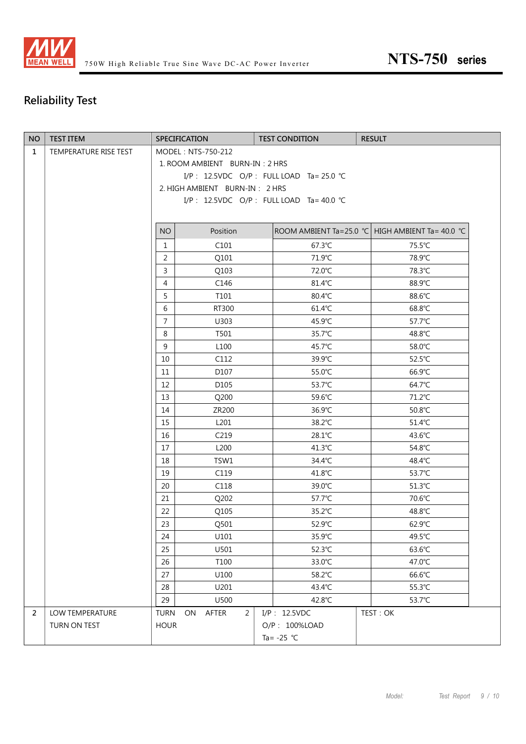

## **Reliability Test**

| <b>NO</b>    | <b>TEST ITEM</b>      |                                            | <b>SPECIFICATION</b>       |  | <b>TEST CONDITION</b> | <b>RESULT</b>                                    |
|--------------|-----------------------|--------------------------------------------|----------------------------|--|-----------------------|--------------------------------------------------|
| $\mathbf{1}$ | TEMPERATURE RISE TEST | MODEL: NTS-750-212                         |                            |  |                       |                                                  |
|              |                       | 1. ROOM AMBIENT BURN-IN: 2 HRS             |                            |  |                       |                                                  |
|              |                       | I/P: 12.5VDC O/P: FULL LOAD Ta= 25.0 °C    |                            |  |                       |                                                  |
|              |                       | 2. HIGH AMBIENT BURN-IN: 2 HRS             |                            |  |                       |                                                  |
|              |                       | I/P : 12.5VDC O/P : FULL LOAD Ta = 40.0 °C |                            |  |                       |                                                  |
|              |                       |                                            |                            |  |                       |                                                  |
|              |                       | <b>NO</b>                                  | Position                   |  |                       | ROOM AMBIENT Ta=25.0 °C HIGH AMBIENT Ta= 40.0 °C |
|              |                       | $\mathbf{1}$                               | C101                       |  | 67.3°C                | 75.5°C                                           |
|              |                       | $\overline{2}$                             | Q101                       |  | 71.9°C                | 78.9°C                                           |
|              |                       | $\mathsf{3}$                               | Q103                       |  | 72.0°C                | 78.3°C                                           |
|              |                       | $\overline{4}$                             | C146                       |  | 81.4°C                | 88.9°C                                           |
|              |                       | 5                                          | T101                       |  | 80.4°C                | 88.6°C                                           |
|              |                       | 6                                          | RT300                      |  | 61.4°C                | 68.8°C                                           |
|              |                       | $\overline{7}$                             | U303                       |  | 45.9°C                | 57.7°C                                           |
|              |                       | 8                                          | T501                       |  | 35.7°C                | 48.8°C                                           |
|              |                       | 9                                          | L <sub>100</sub>           |  | 45.7°C                | 58.0°C                                           |
|              |                       | 10                                         | C112                       |  | 39.9°C                | 52.5°C                                           |
|              |                       | 11                                         | D107                       |  | 55.0°C                | 66.9°C                                           |
|              |                       | 12                                         | D105                       |  | 53.7°C                | 64.7°C                                           |
|              |                       | 13                                         | Q200                       |  | 59.6°C                | 71.2°C                                           |
|              |                       | 14                                         | ZR200                      |  | 36.9°C                | 50.8°C                                           |
|              |                       | 15                                         | L201                       |  | 38.2°C                | 51.4°C                                           |
|              |                       | 16                                         | C <sub>219</sub>           |  | 28.1°C                | 43.6°C                                           |
|              |                       | 17                                         | L200                       |  | 41.3°C                | 54.8°C                                           |
|              |                       | 18                                         | TSW1                       |  | 34.4°C                | 48.4°C                                           |
|              |                       | 19                                         | C119                       |  | 41.8°C                | 53.7°C                                           |
|              |                       | 20                                         | C118                       |  | 39.0°C                | $51.3^{\circ}$ C                                 |
|              |                       | 21                                         | Q202                       |  | 57.7°C                | 70.6°C                                           |
|              |                       | 22                                         | Q105                       |  | 35.2°C                | 48.8°C                                           |
|              |                       | 23                                         | Q501                       |  | 52.9°C                | 62.9°C                                           |
|              |                       | 24                                         | U101                       |  | 35.9°C                | 49.5°C                                           |
|              |                       | 25                                         | U501                       |  | 52.3°C                | 63.6°C                                           |
|              |                       | 26                                         | T100                       |  | 33.0°C                | 47.0°C                                           |
|              |                       | 27                                         | U100                       |  | 58.2°C                | 66.6°C                                           |
|              |                       | 28                                         | U201                       |  | 43.4°C                | 55.3°C                                           |
|              |                       | 29                                         | U500                       |  | 42.8°C                | 53.7°C                                           |
| 2            | LOW TEMPERATURE       | <b>TURN</b>                                | $\overline{2}$<br>ON AFTER |  | I/P: 12.5VDC          | TEST: OK                                         |
|              | TURN ON TEST          | <b>HOUR</b>                                |                            |  | O/P: 100%LOAD         |                                                  |
|              |                       | Ta= $-25$ °C                               |                            |  |                       |                                                  |